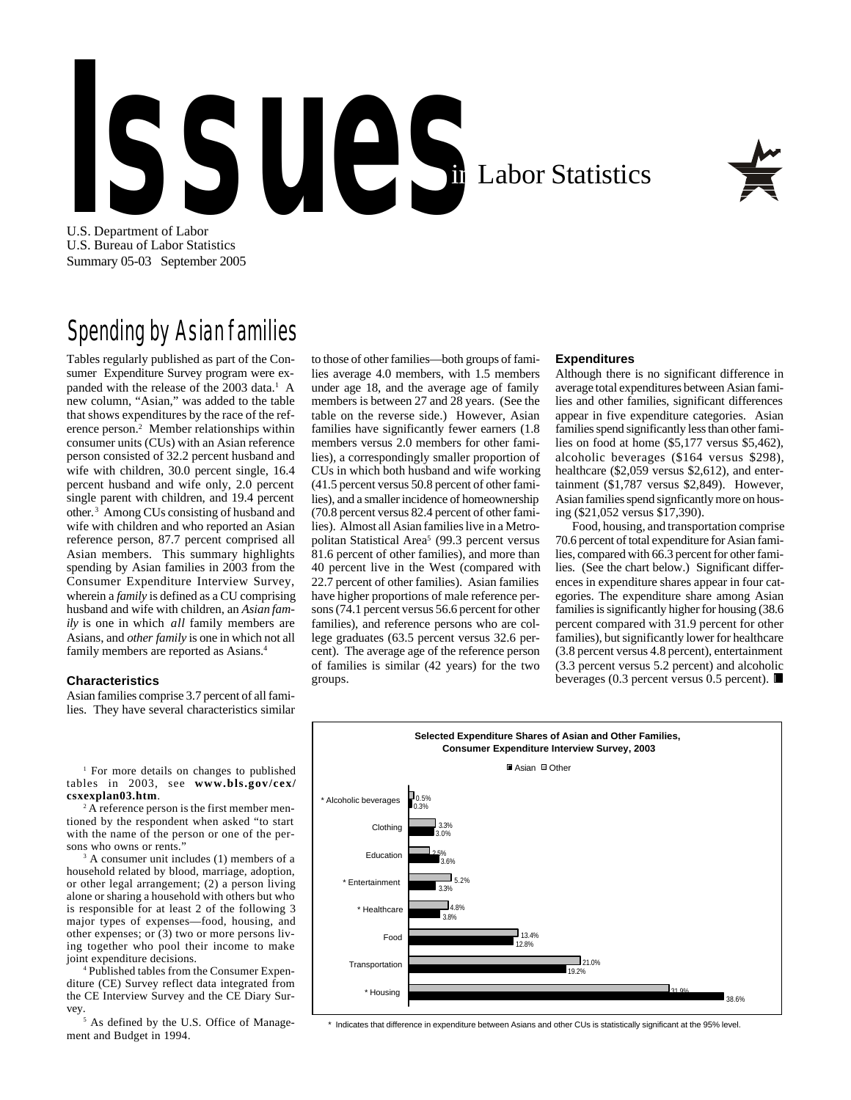## ISSUES in Labor Statistics



U.S. Department of Labor U.S. Bureau of Labor Statistics Summary 05-03 September 2005

## Spending by Asian families

Tables regularly published as part of the Consumer Expenditure Survey program were expanded with the release of the 2003 data.<sup>1</sup> A new column, "Asian," was added to the table that shows expenditures by the race of the reference person.<sup>2</sup> Member relationships within consumer units (CUs) with an Asian reference person consisted of 32.2 percent husband and wife with children, 30.0 percent single, 16.4 percent husband and wife only, 2.0 percent single parent with children, and 19.4 percent other.<sup>3</sup> Among CUs consisting of husband and wife with children and who reported an Asian reference person, 87.7 percent comprised all Asian members. This summary highlights spending by Asian families in 2003 from the Consumer Expenditure Interview Survey, wherein a *family* is defined as a CU comprising husband and wife with children, an *Asian family* is one in which *all* family members are Asians, and *other family* is one in which not all family members are reported as Asians.<sup>4</sup>

## **Characteristics**

Asian families comprise 3.7 percent of all families. They have several characteristics similar

<sup>1</sup> For more details on changes to published tables in 2003, see **www.bls.gov/cex/ csxexplan03.htm**.

<sup>2</sup> A reference person is the first member mentioned by the respondent when asked "to start with the name of the person or one of the persons who owns or rents."

3 A consumer unit includes (1) members of a household related by blood, marriage, adoption, or other legal arrangement; (2) a person living alone or sharing a household with others but who is responsible for at least 2 of the following 3 major types of expenses—food, housing, and other expenses; or (3) two or more persons living together who pool their income to make joint expenditure decisions.

4 Published tables from the Consumer Expenditure (CE) Survey reflect data integrated from the CE Interview Survey and the CE Diary Survey.

<sup>5</sup> As defined by the U.S. Office of Management and Budget in 1994.

to those of other families—both groups of families average 4.0 members, with 1.5 members under age 18, and the average age of family members is between 27 and 28 years. (See the table on the reverse side.) However, Asian families have significantly fewer earners (1.8 members versus 2.0 members for other families), a correspondingly smaller proportion of CUs in which both husband and wife working (41.5 percent versus 50.8 percent of other families), and a smaller incidence of homeownership (70.8 percent versus 82.4 percent of other families). Almost all Asian families live in a Metropolitan Statistical Area<sup>5</sup> (99.3 percent versus 81.6 percent of other families), and more than 40 percent live in the West (compared with 22.7 percent of other families). Asian families have higher proportions of male reference persons (74.1 percent versus 56.6 percent for other families), and reference persons who are college graduates (63.5 percent versus 32.6 percent). The average age of the reference person of families is similar (42 years) for the two groups.

## **Expenditures**

Although there is no significant difference in average total expenditures between Asian families and other families, significant differences appear in five expenditure categories. Asian families spend significantly less than other families on food at home (\$5,177 versus \$5,462), alcoholic beverages (\$164 versus \$298), healthcare (\$2,059 versus \$2,612), and entertainment (\$1,787 versus \$2,849). However, Asian families spend signficantly more on housing (\$21,052 versus \$17,390).

Food, housing, and transportation comprise 70.6 percent of total expenditure for Asian families, compared with 66.3 percent for other families. (See the chart below.) Significant differences in expenditure shares appear in four categories. The expenditure share among Asian families is significantly higher for housing (38.6 percent compared with 31.9 percent for other families), but significantly lower for healthcare (3.8 percent versus 4.8 percent), entertainment (3.3 percent versus 5.2 percent) and alcoholic beverages (0.3 percent versus 0.5 percent).  $\blacksquare$ 



\* Indicates that difference in expenditure between Asians and other CUs is statistically significant at the 95% level.